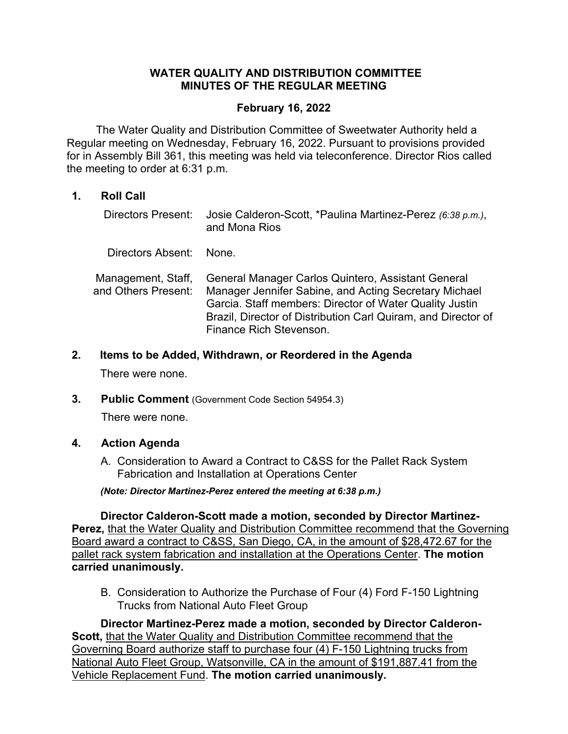#### **WATER QUALITY AND DISTRIBUTION COMMITTEE MINUTES OF THE REGULAR MEETING**

#### **February 16, 2022**

 The Water Quality and Distribution Committee of Sweetwater Authority held a Regular meeting on Wednesday, February 16, 2022. Pursuant to provisions provided for in Assembly Bill 361, this meeting was held via teleconference. Director Rios called the meeting to order at 6:31 p.m.

# **1. Roll Call**

- Directors Present: Josie Calderon-Scott, \*Paulina Martinez-Perez *(6:38 p.m.)*, Directors Absent: None. and Mona Rios
- Management, Staff, and Others Present: General Manager Carlos Quintero, Assistant General Manager Jennifer Sabine, and Acting Secretary Michael Garcia. Staff members: Director of Water Quality Justin Brazil, Director of Distribution Carl Quiram, and Director of Finance Rich Stevenson.
- **2. Items to be Added, Withdrawn, or Reordered in the Agenda**

There were none.

**3. Public Comment** (Government Code Section 54954.3)

There were none.

# **4. Action Agenda**

A. Consideration to Award a Contract to C&SS for the Pallet Rack System Fabrication and Installation at Operations Center

*(Note: Director Martinez-Perez entered the meeting at 6:38 p.m.)* 

**Director Calderon-Scott made a motion, seconded by Director Martinez-**Perez, that the Water Quality and Distribution Committee recommend that the Governing Board award a contract to C&SS, San Diego, CA, in the amount of \$28,472.67 for the pallet rack system fabrication and installation at the Operations Center. **The motion carried unanimously.**

B. Consideration to Authorize the Purchase of Four (4) Ford F-150 Lightning Trucks from National Auto Fleet Group

**Director Martinez-Perez made a motion, seconded by Director Calderon-Scott,** that the Water Quality and Distribution Committee recommend that the Governing Board authorize staff to purchase four (4) F-150 Lightning trucks from National Auto Fleet Group, Watsonville, CA in the amount of \$191,887.41 from the Vehicle Replacement Fund. **The motion carried unanimously.**